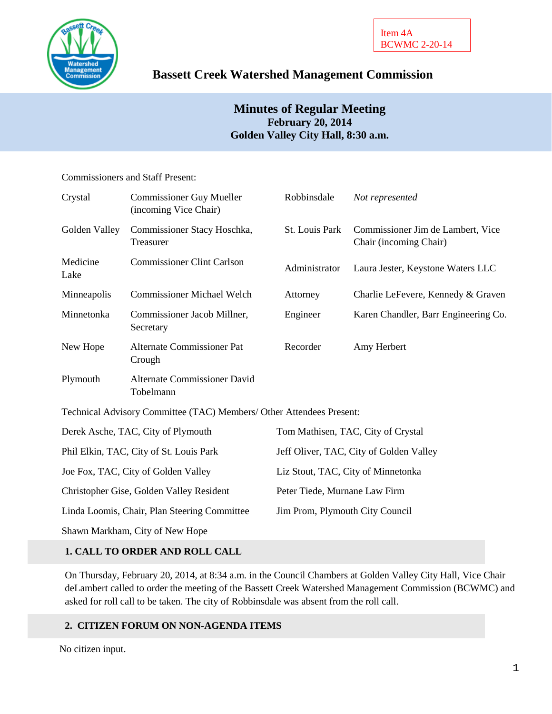

# **Bassett Creek Watershed Management Commission**

# **Minutes of Regular Meeting February 20, 2014 Golden Valley City Hall, 8:30 a.m.**

# Commissioners and Staff Present:

| Crystal                                      | <b>Commissioner Guy Mueller</b><br>(incoming Vice Chair)             | Robbinsdale                             | Not represented                                             |
|----------------------------------------------|----------------------------------------------------------------------|-----------------------------------------|-------------------------------------------------------------|
| Golden Valley                                | Commissioner Stacy Hoschka,<br>Treasurer                             | St. Louis Park                          | Commissioner Jim de Lambert, Vice<br>Chair (incoming Chair) |
| Medicine<br>Lake                             | <b>Commissioner Clint Carlson</b>                                    | Administrator                           | Laura Jester, Keystone Waters LLC                           |
| Minneapolis                                  | <b>Commissioner Michael Welch</b>                                    | Attorney                                | Charlie LeFevere, Kennedy & Graven                          |
| Minnetonka                                   | Commissioner Jacob Millner,<br>Secretary                             | Engineer                                | Karen Chandler, Barr Engineering Co.                        |
| New Hope                                     | <b>Alternate Commissioner Pat</b><br>Crough                          | Recorder                                | Amy Herbert                                                 |
| Plymouth                                     | <b>Alternate Commissioner David</b><br>Tobelmann                     |                                         |                                                             |
|                                              | Technical Advisory Committee (TAC) Members/ Other Attendees Present: |                                         |                                                             |
| Derek Asche, TAC, City of Plymouth           |                                                                      | Tom Mathisen, TAC, City of Crystal      |                                                             |
| Phil Elkin, TAC, City of St. Louis Park      |                                                                      | Jeff Oliver, TAC, City of Golden Valley |                                                             |
| Joe Fox, TAC, City of Golden Valley          |                                                                      | Liz Stout, TAC, City of Minnetonka      |                                                             |
| Christopher Gise, Golden Valley Resident     |                                                                      | Peter Tiede, Murnane Law Firm           |                                                             |
| Linda Loomis, Chair, Plan Steering Committee |                                                                      | Jim Prom, Plymouth City Council         |                                                             |
|                                              | Shawn Markham, City of New Hope                                      |                                         |                                                             |

# **1. CALL TO ORDER AND ROLL CALL**

On Thursday, February 20, 2014, at 8:34 a.m. in the Council Chambers at Golden Valley City Hall, Vice Chair deLambert called to order the meeting of the Bassett Creek Watershed Management Commission (BCWMC) and asked for roll call to be taken. The city of Robbinsdale was absent from the roll call.

# **2. CITIZEN FORUM ON NON-AGENDA ITEMS**

No citizen input.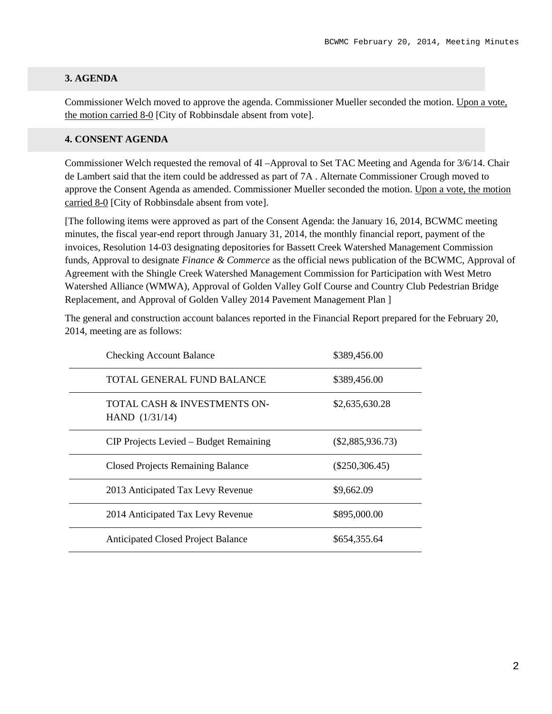# **3. AGENDA**

Commissioner Welch moved to approve the agenda. Commissioner Mueller seconded the motion. Upon a vote, the motion carried 8-0 [City of Robbinsdale absent from vote].

### **4. CONSENT AGENDA**

Commissioner Welch requested the removal of 4I –Approval to Set TAC Meeting and Agenda for 3/6/14. Chair de Lambert said that the item could be addressed as part of 7A . Alternate Commissioner Crough moved to approve the Consent Agenda as amended. Commissioner Mueller seconded the motion. Upon a vote, the motion carried 8-0 [City of Robbinsdale absent from vote].

[The following items were approved as part of the Consent Agenda: the January 16, 2014, BCWMC meeting minutes, the fiscal year-end report through January 31, 2014, the monthly financial report, payment of the invoices, Resolution 14-03 designating depositories for Bassett Creek Watershed Management Commission funds, Approval to designate *Finance & Commerce* as the official news publication of the BCWMC, Approval of Agreement with the Shingle Creek Watershed Management Commission for Participation with West Metro Watershed Alliance (WMWA), Approval of Golden Valley Golf Course and Country Club Pedestrian Bridge Replacement, and Approval of Golden Valley 2014 Pavement Management Plan ]

The general and construction account balances reported in the Financial Report prepared for the February 20, 2014, meeting are as follows:

| <b>Checking Account Balance</b>                  | \$389,456.00       |
|--------------------------------------------------|--------------------|
| TOTAL GENERAL FUND BALANCE                       | \$389,456.00       |
| TOTAL CASH & INVESTMENTS ON-<br>HAND $(1/31/14)$ | \$2,635,630.28     |
| CIP Projects Levied – Budget Remaining           | $(\$2,885,936.73)$ |
| <b>Closed Projects Remaining Balance</b>         | $(\$250,306.45)$   |
| 2013 Anticipated Tax Levy Revenue                | \$9,662.09         |
| 2014 Anticipated Tax Levy Revenue                | \$895,000.00       |
| <b>Anticipated Closed Project Balance</b>        | \$654,355.64       |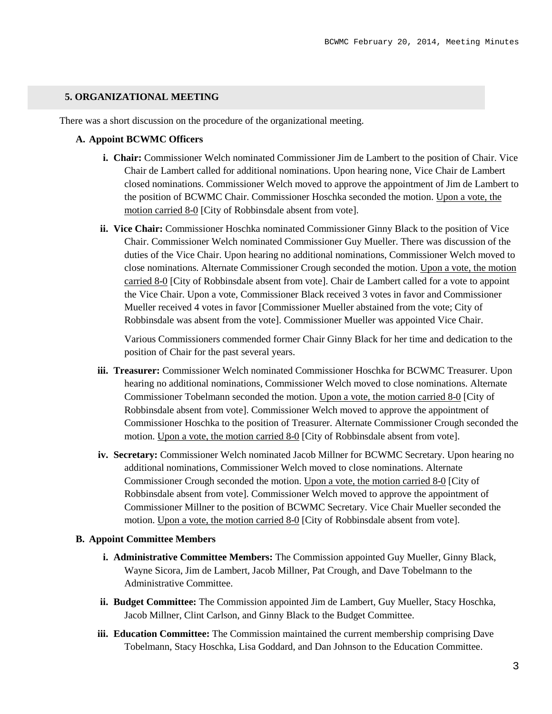### **5. ORGANIZATIONAL MEETING**

There was a short discussion on the procedure of the organizational meeting.

### **A. Appoint BCWMC Officers**

- **i. Chair:** Commissioner Welch nominated Commissioner Jim de Lambert to the position of Chair. Vice Chair de Lambert called for additional nominations. Upon hearing none, Vice Chair de Lambert closed nominations. Commissioner Welch moved to approve the appointment of Jim de Lambert to the position of BCWMC Chair. Commissioner Hoschka seconded the motion. Upon a vote, the motion carried 8-0 [City of Robbinsdale absent from vote].
- **ii. Vice Chair:** Commissioner Hoschka nominated Commissioner Ginny Black to the position of Vice Chair. Commissioner Welch nominated Commissioner Guy Mueller. There was discussion of the duties of the Vice Chair. Upon hearing no additional nominations, Commissioner Welch moved to close nominations. Alternate Commissioner Crough seconded the motion. Upon a vote, the motion carried 8-0 [City of Robbinsdale absent from vote]. Chair de Lambert called for a vote to appoint the Vice Chair. Upon a vote, Commissioner Black received 3 votes in favor and Commissioner Mueller received 4 votes in favor [Commissioner Mueller abstained from the vote; City of Robbinsdale was absent from the vote]. Commissioner Mueller was appointed Vice Chair.

Various Commissioners commended former Chair Ginny Black for her time and dedication to the position of Chair for the past several years.

- **iii. Treasurer:** Commissioner Welch nominated Commissioner Hoschka for BCWMC Treasurer. Upon hearing no additional nominations, Commissioner Welch moved to close nominations. Alternate Commissioner Tobelmann seconded the motion. Upon a vote, the motion carried 8-0 [City of Robbinsdale absent from vote]. Commissioner Welch moved to approve the appointment of Commissioner Hoschka to the position of Treasurer. Alternate Commissioner Crough seconded the motion. Upon a vote, the motion carried 8-0 [City of Robbinsdale absent from vote].
- **iv. Secretary:** Commissioner Welch nominated Jacob Millner for BCWMC Secretary. Upon hearing no additional nominations, Commissioner Welch moved to close nominations. Alternate Commissioner Crough seconded the motion. Upon a vote, the motion carried 8-0 [City of Robbinsdale absent from vote]. Commissioner Welch moved to approve the appointment of Commissioner Millner to the position of BCWMC Secretary. Vice Chair Mueller seconded the motion. Upon a vote, the motion carried 8-0 [City of Robbinsdale absent from vote].

#### **B. Appoint Committee Members**

- **i. Administrative Committee Members:** The Commission appointed Guy Mueller, Ginny Black, Wayne Sicora, Jim de Lambert, Jacob Millner, Pat Crough, and Dave Tobelmann to the Administrative Committee.
- **ii. Budget Committee:** The Commission appointed Jim de Lambert, Guy Mueller, Stacy Hoschka, Jacob Millner, Clint Carlson, and Ginny Black to the Budget Committee.
- **iii. Education Committee:** The Commission maintained the current membership comprising Dave Tobelmann, Stacy Hoschka, Lisa Goddard, and Dan Johnson to the Education Committee.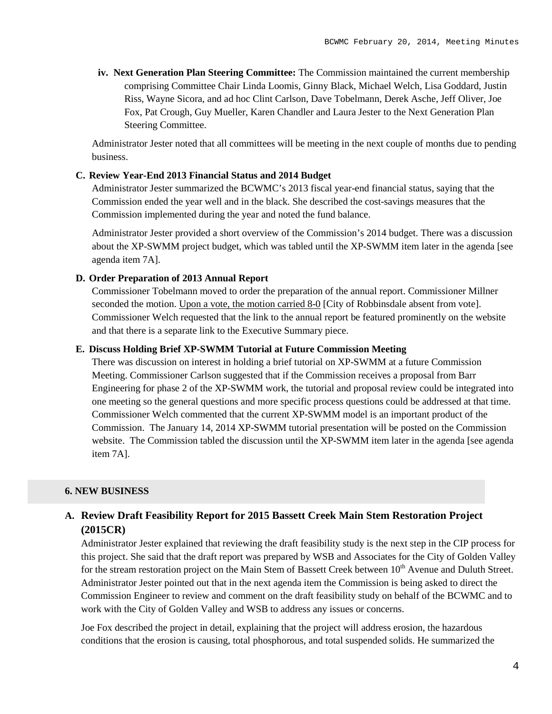**iv. Next Generation Plan Steering Committee:** The Commission maintained the current membership comprising Committee Chair Linda Loomis, Ginny Black, Michael Welch, Lisa Goddard, Justin Riss, Wayne Sicora, and ad hoc Clint Carlson, Dave Tobelmann, Derek Asche, Jeff Oliver, Joe Fox, Pat Crough, Guy Mueller, Karen Chandler and Laura Jester to the Next Generation Plan Steering Committee.

Administrator Jester noted that all committees will be meeting in the next couple of months due to pending business.

# **C. Review Year-End 2013 Financial Status and 2014 Budget**

Administrator Jester summarized the BCWMC's 2013 fiscal year-end financial status, saying that the Commission ended the year well and in the black. She described the cost-savings measures that the Commission implemented during the year and noted the fund balance.

Administrator Jester provided a short overview of the Commission's 2014 budget. There was a discussion about the XP-SWMM project budget, which was tabled until the XP-SWMM item later in the agenda [see agenda item 7A].

# **D. Order Preparation of 2013 Annual Report**

Commissioner Tobelmann moved to order the preparation of the annual report. Commissioner Millner seconded the motion. Upon a vote, the motion carried 8-0 [City of Robbinsdale absent from vote]. Commissioner Welch requested that the link to the annual report be featured prominently on the website and that there is a separate link to the Executive Summary piece.

# **E. Discuss Holding Brief XP-SWMM Tutorial at Future Commission Meeting**

There was discussion on interest in holding a brief tutorial on XP-SWMM at a future Commission Meeting. Commissioner Carlson suggested that if the Commission receives a proposal from Barr Engineering for phase 2 of the XP-SWMM work, the tutorial and proposal review could be integrated into one meeting so the general questions and more specific process questions could be addressed at that time. Commissioner Welch commented that the current XP-SWMM model is an important product of the Commission. The January 14, 2014 XP-SWMM tutorial presentation will be posted on the Commission website. The Commission tabled the discussion until the XP-SWMM item later in the agenda [see agenda] item 7A].

# **6. NEW BUSINESS**

# **A. Review Draft Feasibility Report for 2015 Bassett Creek Main Stem Restoration Project (2015CR)**

Administrator Jester explained that reviewing the draft feasibility study is the next step in the CIP process for this project. She said that the draft report was prepared by WSB and Associates for the City of Golden Valley for the stream restoration project on the Main Stem of Bassett Creek between 10<sup>th</sup> Avenue and Duluth Street. Administrator Jester pointed out that in the next agenda item the Commission is being asked to direct the Commission Engineer to review and comment on the draft feasibility study on behalf of the BCWMC and to work with the City of Golden Valley and WSB to address any issues or concerns.

Joe Fox described the project in detail, explaining that the project will address erosion, the hazardous conditions that the erosion is causing, total phosphorous, and total suspended solids. He summarized the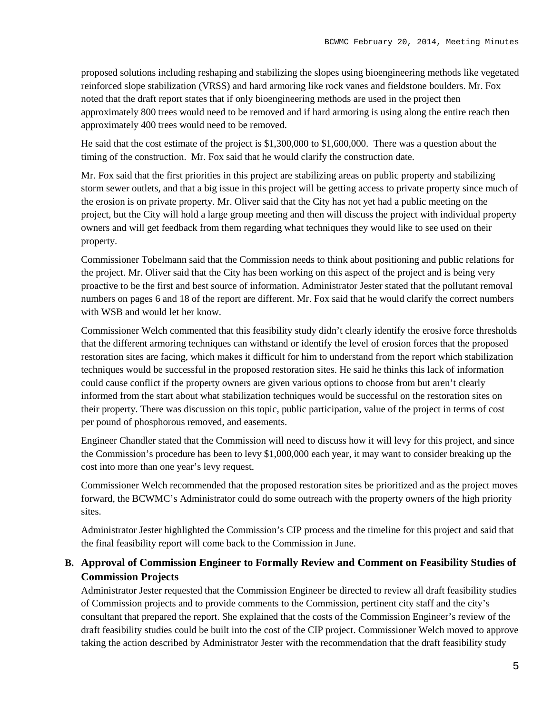proposed solutions including reshaping and stabilizing the slopes using bioengineering methods like vegetated reinforced slope stabilization (VRSS) and hard armoring like rock vanes and fieldstone boulders. Mr. Fox noted that the draft report states that if only bioengineering methods are used in the project then approximately 800 trees would need to be removed and if hard armoring is using along the entire reach then approximately 400 trees would need to be removed.

He said that the cost estimate of the project is \$1,300,000 to \$1,600,000. There was a question about the timing of the construction. Mr. Fox said that he would clarify the construction date.

Mr. Fox said that the first priorities in this project are stabilizing areas on public property and stabilizing storm sewer outlets, and that a big issue in this project will be getting access to private property since much of the erosion is on private property. Mr. Oliver said that the City has not yet had a public meeting on the project, but the City will hold a large group meeting and then will discuss the project with individual property owners and will get feedback from them regarding what techniques they would like to see used on their property.

Commissioner Tobelmann said that the Commission needs to think about positioning and public relations for the project. Mr. Oliver said that the City has been working on this aspect of the project and is being very proactive to be the first and best source of information. Administrator Jester stated that the pollutant removal numbers on pages 6 and 18 of the report are different. Mr. Fox said that he would clarify the correct numbers with WSB and would let her know.

Commissioner Welch commented that this feasibility study didn't clearly identify the erosive force thresholds that the different armoring techniques can withstand or identify the level of erosion forces that the proposed restoration sites are facing, which makes it difficult for him to understand from the report which stabilization techniques would be successful in the proposed restoration sites. He said he thinks this lack of information could cause conflict if the property owners are given various options to choose from but aren't clearly informed from the start about what stabilization techniques would be successful on the restoration sites on their property. There was discussion on this topic, public participation, value of the project in terms of cost per pound of phosphorous removed, and easements.

Engineer Chandler stated that the Commission will need to discuss how it will levy for this project, and since the Commission's procedure has been to levy \$1,000,000 each year, it may want to consider breaking up the cost into more than one year's levy request.

Commissioner Welch recommended that the proposed restoration sites be prioritized and as the project moves forward, the BCWMC's Administrator could do some outreach with the property owners of the high priority sites.

Administrator Jester highlighted the Commission's CIP process and the timeline for this project and said that the final feasibility report will come back to the Commission in June.

# **B. Approval of Commission Engineer to Formally Review and Comment on Feasibility Studies of Commission Projects**

Administrator Jester requested that the Commission Engineer be directed to review all draft feasibility studies of Commission projects and to provide comments to the Commission, pertinent city staff and the city's consultant that prepared the report. She explained that the costs of the Commission Engineer's review of the draft feasibility studies could be built into the cost of the CIP project. Commissioner Welch moved to approve taking the action described by Administrator Jester with the recommendation that the draft feasibility study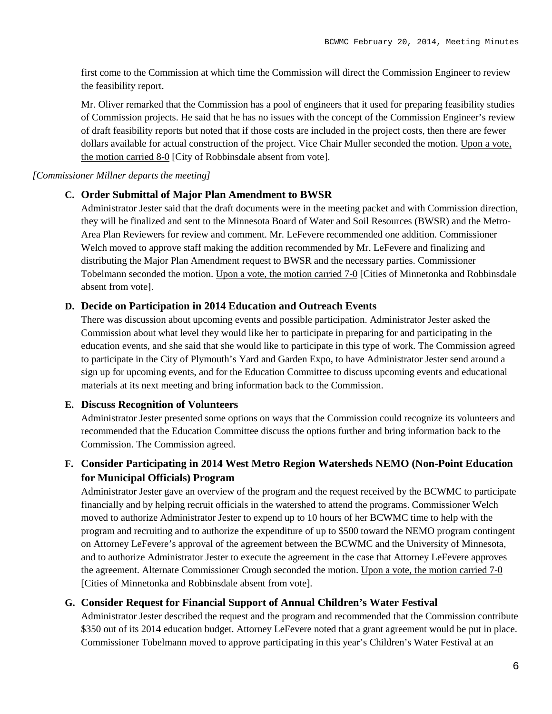first come to the Commission at which time the Commission will direct the Commission Engineer to review the feasibility report.

Mr. Oliver remarked that the Commission has a pool of engineers that it used for preparing feasibility studies of Commission projects. He said that he has no issues with the concept of the Commission Engineer's review of draft feasibility reports but noted that if those costs are included in the project costs, then there are fewer dollars available for actual construction of the project. Vice Chair Muller seconded the motion. Upon a vote, the motion carried 8-0 [City of Robbinsdale absent from vote].

#### *[Commissioner Millner departs the meeting]*

### **C. Order Submittal of Major Plan Amendment to BWSR**

Administrator Jester said that the draft documents were in the meeting packet and with Commission direction, they will be finalized and sent to the Minnesota Board of Water and Soil Resources (BWSR) and the Metro-Area Plan Reviewers for review and comment. Mr. LeFevere recommended one addition. Commissioner Welch moved to approve staff making the addition recommended by Mr. LeFevere and finalizing and distributing the Major Plan Amendment request to BWSR and the necessary parties. Commissioner Tobelmann seconded the motion. Upon a vote, the motion carried 7-0 [Cities of Minnetonka and Robbinsdale absent from vote].

### **D. Decide on Participation in 2014 Education and Outreach Events**

There was discussion about upcoming events and possible participation. Administrator Jester asked the Commission about what level they would like her to participate in preparing for and participating in the education events, and she said that she would like to participate in this type of work. The Commission agreed to participate in the City of Plymouth's Yard and Garden Expo, to have Administrator Jester send around a sign up for upcoming events, and for the Education Committee to discuss upcoming events and educational materials at its next meeting and bring information back to the Commission.

#### **E. Discuss Recognition of Volunteers**

Administrator Jester presented some options on ways that the Commission could recognize its volunteers and recommended that the Education Committee discuss the options further and bring information back to the Commission. The Commission agreed.

# **F. Consider Participating in 2014 West Metro Region Watersheds NEMO (Non-Point Education for Municipal Officials) Program**

Administrator Jester gave an overview of the program and the request received by the BCWMC to participate financially and by helping recruit officials in the watershed to attend the programs. Commissioner Welch moved to authorize Administrator Jester to expend up to 10 hours of her BCWMC time to help with the program and recruiting and to authorize the expenditure of up to \$500 toward the NEMO program contingent on Attorney LeFevere's approval of the agreement between the BCWMC and the University of Minnesota, and to authorize Administrator Jester to execute the agreement in the case that Attorney LeFevere approves the agreement. Alternate Commissioner Crough seconded the motion. Upon a vote, the motion carried 7-0 [Cities of Minnetonka and Robbinsdale absent from vote].

# **G. Consider Request for Financial Support of Annual Children's Water Festival**

Administrator Jester described the request and the program and recommended that the Commission contribute \$350 out of its 2014 education budget. Attorney LeFevere noted that a grant agreement would be put in place. Commissioner Tobelmann moved to approve participating in this year's Children's Water Festival at an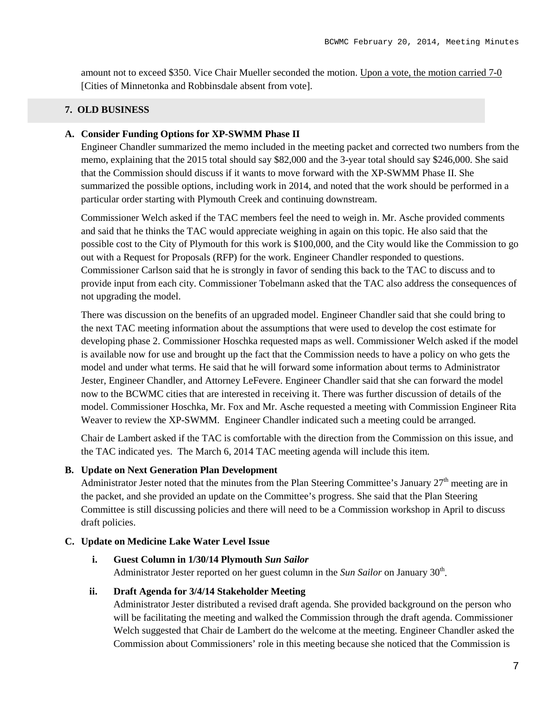amount not to exceed \$350. Vice Chair Mueller seconded the motion. Upon a vote, the motion carried 7-0 [Cities of Minnetonka and Robbinsdale absent from vote].

# **7. OLD BUSINESS**

# **A. Consider Funding Options for XP-SWMM Phase II**

Engineer Chandler summarized the memo included in the meeting packet and corrected two numbers from the memo, explaining that the 2015 total should say \$82,000 and the 3-year total should say \$246,000. She said that the Commission should discuss if it wants to move forward with the XP-SWMM Phase II. She summarized the possible options, including work in 2014, and noted that the work should be performed in a particular order starting with Plymouth Creek and continuing downstream.

Commissioner Welch asked if the TAC members feel the need to weigh in. Mr. Asche provided comments and said that he thinks the TAC would appreciate weighing in again on this topic. He also said that the possible cost to the City of Plymouth for this work is \$100,000, and the City would like the Commission to go out with a Request for Proposals (RFP) for the work. Engineer Chandler responded to questions. Commissioner Carlson said that he is strongly in favor of sending this back to the TAC to discuss and to provide input from each city. Commissioner Tobelmann asked that the TAC also address the consequences of not upgrading the model.

There was discussion on the benefits of an upgraded model. Engineer Chandler said that she could bring to the next TAC meeting information about the assumptions that were used to develop the cost estimate for developing phase 2. Commissioner Hoschka requested maps as well. Commissioner Welch asked if the model is available now for use and brought up the fact that the Commission needs to have a policy on who gets the model and under what terms. He said that he will forward some information about terms to Administrator Jester, Engineer Chandler, and Attorney LeFevere. Engineer Chandler said that she can forward the model now to the BCWMC cities that are interested in receiving it. There was further discussion of details of the model. Commissioner Hoschka, Mr. Fox and Mr. Asche requested a meeting with Commission Engineer Rita Weaver to review the XP-SWMM. Engineer Chandler indicated such a meeting could be arranged.

Chair de Lambert asked if the TAC is comfortable with the direction from the Commission on this issue, and the TAC indicated yes. The March 6, 2014 TAC meeting agenda will include this item.

### **B. Update on Next Generation Plan Development**

Administrator Jester noted that the minutes from the Plan Steering Committee's January  $27<sup>th</sup>$  meeting are in the packet, and she provided an update on the Committee's progress. She said that the Plan Steering Committee is still discussing policies and there will need to be a Commission workshop in April to discuss draft policies.

# **C. Update on Medicine Lake Water Level Issue**

# **i. Guest Column in 1/30/14 Plymouth** *Sun Sailor*

Administrator Jester reported on her guest column in the *Sun Sailor* on January 30<sup>th</sup>.

### **ii. Draft Agenda for 3/4/14 Stakeholder Meeting**

Administrator Jester distributed a revised draft agenda. She provided background on the person who will be facilitating the meeting and walked the Commission through the draft agenda. Commissioner Welch suggested that Chair de Lambert do the welcome at the meeting. Engineer Chandler asked the Commission about Commissioners' role in this meeting because she noticed that the Commission is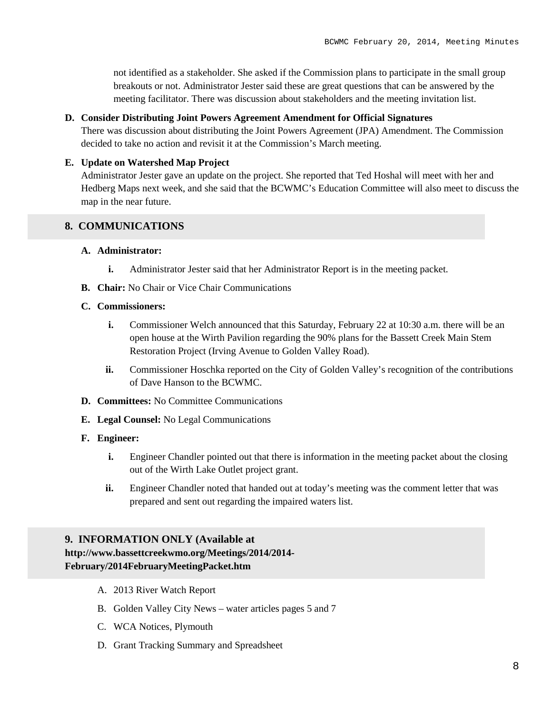not identified as a stakeholder. She asked if the Commission plans to participate in the small group breakouts or not. Administrator Jester said these are great questions that can be answered by the meeting facilitator. There was discussion about stakeholders and the meeting invitation list.

### **D. Consider Distributing Joint Powers Agreement Amendment for Official Signatures**

There was discussion about distributing the Joint Powers Agreement (JPA) Amendment. The Commission decided to take no action and revisit it at the Commission's March meeting.

### **E. Update on Watershed Map Project**

Administrator Jester gave an update on the project. She reported that Ted Hoshal will meet with her and Hedberg Maps next week, and she said that the BCWMC's Education Committee will also meet to discuss the map in the near future.

### **8. COMMUNICATIONS**

# **A. Administrator:**

- **i.** Administrator Jester said that her Administrator Report is in the meeting packet.
- **B. Chair:** No Chair or Vice Chair Communications

#### **C. Commissioners:**

- **i.** Commissioner Welch announced that this Saturday, February 22 at 10:30 a.m. there will be an open house at the Wirth Pavilion regarding the 90% plans for the Bassett Creek Main Stem Restoration Project (Irving Avenue to Golden Valley Road).
- **ii.** Commissioner Hoschka reported on the City of Golden Valley's recognition of the contributions of Dave Hanson to the BCWMC.
- **D. Committees:** No Committee Communications
- **E. Legal Counsel:** No Legal Communications

# **F. Engineer:**

- **i.** Engineer Chandler pointed out that there is information in the meeting packet about the closing out of the Wirth Lake Outlet project grant.
- **ii.** Engineer Chandler noted that handed out at today's meeting was the comment letter that was prepared and sent out regarding the impaired waters list.

# **9. INFORMATION ONLY (Available at**

# **http://www.bassettcreekwmo.org/Meetings/2014/2014- February/2014FebruaryMeetingPacket.htm**

- A. 2013 River Watch Report
- B. Golden Valley City News water articles pages 5 and 7
- C. WCA Notices, Plymouth
- D. Grant Tracking Summary and Spreadsheet